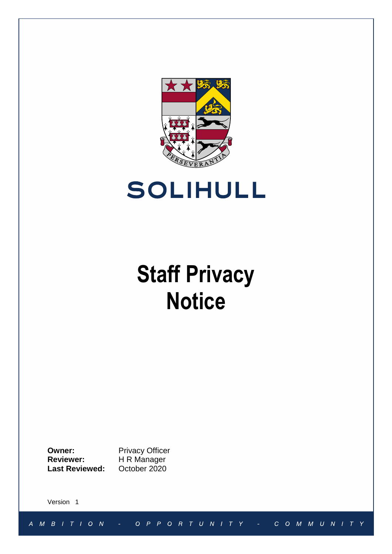



# **Staff Privacy Notice**

**Owner:** Privacy Officer<br> **Reviewer:** H R Manager **Reviewer:** H R Manager **Last Reviewed:** October 2020

Version 1

 $A \quad M \quad B \quad I \quad T \quad I \quad O \quad N$ O P P O R T U N I T Y COMMUNITY  $\equiv$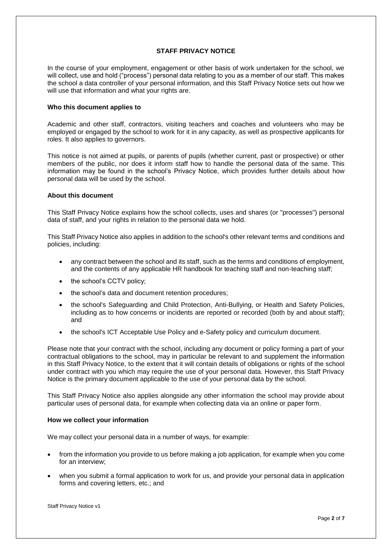## **STAFF PRIVACY NOTICE**

In the course of your employment, engagement or other basis of work undertaken for the school, we will collect, use and hold ("process") personal data relating to you as a member of our staff. This makes the school a data controller of your personal information, and this Staff Privacy Notice sets out how we will use that information and what your rights are.

#### **Who this document applies to**

Academic and other staff, contractors, visiting teachers and coaches and volunteers who may be employed or engaged by the school to work for it in any capacity, as well as prospective applicants for roles. It also applies to governors.

This notice is not aimed at pupils, or parents of pupils (whether current, past or prospective) or other members of the public, nor does it inform staff how to handle the personal data of the same. This information may be found in the school's Privacy Notice, which provides further details about how personal data will be used by the school.

#### **About this document**

This Staff Privacy Notice explains how the school collects, uses and shares (or "processes") personal data of staff, and your rights in relation to the personal data we hold.

This Staff Privacy Notice also applies in addition to the school's other relevant terms and conditions and policies, including:

- any contract between the school and its staff, such as the terms and conditions of employment, and the contents of any applicable HR handbook for teaching staff and non-teaching staff;
- the school's CCTV policy;
- the school's data and document retention procedures;
- the school's Safeguarding and Child Protection, Anti-Bullying, or Health and Safety Policies, including as to how concerns or incidents are reported or recorded (both by and about staff); and
- the school's ICT Acceptable Use Policy and e-Safety policy and curriculum document.

Please note that your contract with the school, including any document or policy forming a part of your contractual obligations to the school, may in particular be relevant to and supplement the information in this Staff Privacy Notice, to the extent that it will contain details of obligations or rights of the school under contract with you which may require the use of your personal data. However, this Staff Privacy Notice is the primary document applicable to the use of your personal data by the school.

This Staff Privacy Notice also applies alongside any other information the school may provide about particular uses of personal data, for example when collecting data via an online or paper form.

#### **How we collect your information**

We may collect your personal data in a number of ways, for example:

- from the information you provide to us before making a job application, for example when you come for an interview;
- when you submit a formal application to work for us, and provide your personal data in application forms and covering letters, etc.; and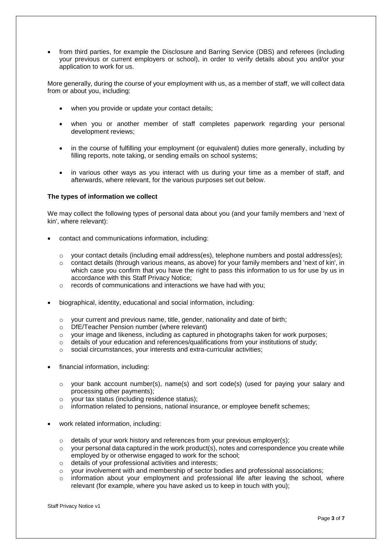from third parties, for example the Disclosure and Barring Service (DBS) and referees (including your previous or current employers or school), in order to verify details about you and/or your application to work for us.

More generally, during the course of your employment with us, as a member of staff, we will collect data from or about you, including:

- when you provide or update your contact details;
- when you or another member of staff completes paperwork regarding your personal development reviews;
- in the course of fulfilling your employment (or equivalent) duties more generally, including by filling reports, note taking, or sending emails on school systems;
- in various other ways as you interact with us during your time as a member of staff, and afterwards, where relevant, for the various purposes set out below.

#### **The types of information we collect**

We may collect the following types of personal data about you (and your family members and 'next of kin', where relevant):

- contact and communications information, including:
	- o your contact details (including email address(es), telephone numbers and postal address(es);
	- $\circ$  contact details (through various means, as above) for your family members and 'next of kin', in which case you confirm that you have the right to pass this information to us for use by us in accordance with this Staff Privacy Notice;
	- o records of communications and interactions we have had with you;
- biographical, identity, educational and social information, including:
	- o your current and previous name, title, gender, nationality and date of birth;
	- o DfE/Teacher Pension number (where relevant)
	- $\circ$  your image and likeness, including as captured in photographs taken for work purposes;
	- o details of your education and references/qualifications from your institutions of study;
	- o social circumstances, your interests and extra-curricular activities;
- financial information, including:
	- $\circ$  your bank account number(s), name(s) and sort code(s) (used for paying your salary and processing other payments);
	- o your tax status (including residence status);
	- $\circ$  information related to pensions, national insurance, or employee benefit schemes;
- work related information, including:
	- o details of your work history and references from your previous employer(s);
	- $\circ$  your personal data captured in the work product(s), notes and correspondence you create while employed by or otherwise engaged to work for the school;
	- o details of your professional activities and interests;
	- $\circ$  your involvement with and membership of sector bodies and professional associations;
	- $\circ$  information about your employment and professional life after leaving the school, where relevant (for example, where you have asked us to keep in touch with you);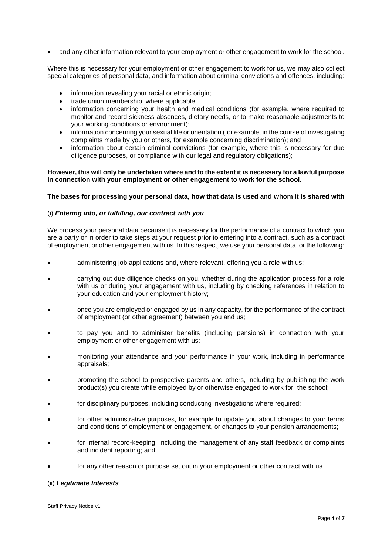and any other information relevant to your employment or other engagement to work for the school.

Where this is necessary for your employment or other engagement to work for us, we may also collect special categories of personal data, and information about criminal convictions and offences, including:

- information revealing your racial or ethnic origin;
- trade union membership, where applicable;
- information concerning your health and medical conditions (for example, where required to monitor and record sickness absences, dietary needs, or to make reasonable adjustments to your working conditions or environment);
- information concerning your sexual life or orientation (for example, in the course of investigating complaints made by you or others, for example concerning discrimination); and
- information about certain criminal convictions (for example, where this is necessary for due diligence purposes, or compliance with our legal and regulatory obligations);

#### **However, this will only be undertaken where and to the extent it is necessary for a lawful purpose in connection with your employment or other engagement to work for the school.**

#### **The bases for processing your personal data, how that data is used and whom it is shared with**

# (i) *Entering into, or fulfilling, our contract with you*

We process your personal data because it is necessary for the performance of a contract to which you are a party or in order to take steps at your request prior to entering into a contract, such as a contract of employment or other engagement with us. In this respect, we use your personal data for the following:

- administering job applications and, where relevant, offering you a role with us;
- carrying out due diligence checks on you, whether during the application process for a role with us or during your engagement with us, including by checking references in relation to your education and your employment history;
- once you are employed or engaged by us in any capacity, for the performance of the contract of employment (or other agreement) between you and us;
- to pay you and to administer benefits (including pensions) in connection with your employment or other engagement with us;
- monitoring your attendance and your performance in your work, including in performance appraisals;
- promoting the school to prospective parents and others, including by publishing the work product(s) you create while employed by or otherwise engaged to work for the school;
- for disciplinary purposes, including conducting investigations where required;
- for other administrative purposes, for example to update you about changes to your terms and conditions of employment or engagement, or changes to your pension arrangements;
- for internal record-keeping, including the management of any staff feedback or complaints and incident reporting; and
- for any other reason or purpose set out in your employment or other contract with us.

#### (ii) *Legitimate Interests*

Staff Privacy Notice v1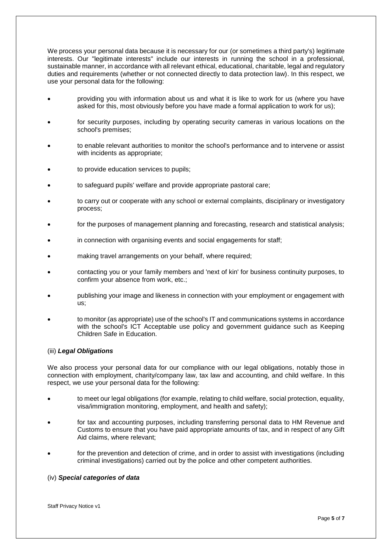We process your personal data because it is necessary for our (or sometimes a third party's) legitimate interests. Our "legitimate interests" include our interests in running the school in a professional, sustainable manner, in accordance with all relevant ethical, educational, charitable, legal and regulatory duties and requirements (whether or not connected directly to data protection law). In this respect, we use your personal data for the following:

- providing you with information about us and what it is like to work for us (where you have asked for this, most obviously before you have made a formal application to work for us);
- for security purposes, including by operating security cameras in various locations on the school's premises;
- to enable relevant authorities to monitor the school's performance and to intervene or assist with incidents as appropriate;
- to provide education services to pupils;
- to safeguard pupils' welfare and provide appropriate pastoral care;
- to carry out or cooperate with any school or external complaints, disciplinary or investigatory process;
- for the purposes of management planning and forecasting, research and statistical analysis;
- in connection with organising events and social engagements for staff;
- making travel arrangements on your behalf, where required;
- contacting you or your family members and 'next of kin' for business continuity purposes, to confirm your absence from work, etc.;
- publishing your image and likeness in connection with your employment or engagement with us;
- to monitor (as appropriate) use of the school's IT and communications systems in accordance with the school's ICT Acceptable use policy and government guidance such as Keeping Children Safe in Education.

#### (iii) *Legal Obligations*

We also process your personal data for our compliance with our legal obligations, notably those in connection with employment, charity/company law, tax law and accounting, and child welfare. In this respect, we use your personal data for the following:

- to meet our legal obligations (for example, relating to child welfare, social protection, equality, visa/immigration monitoring, employment, and health and safety);
- for tax and accounting purposes, including transferring personal data to HM Revenue and Customs to ensure that you have paid appropriate amounts of tax, and in respect of any Gift Aid claims, where relevant;
- for the prevention and detection of crime, and in order to assist with investigations (including criminal investigations) carried out by the police and other competent authorities.

## (iv) *Special categories of data*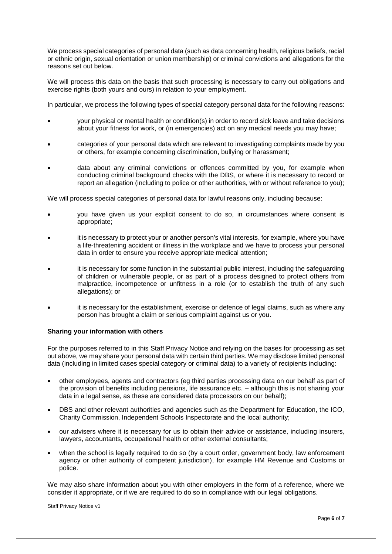We process special categories of personal data (such as data concerning health, religious beliefs, racial or ethnic origin, sexual orientation or union membership) or criminal convictions and allegations for the reasons set out below.

We will process this data on the basis that such processing is necessary to carry out obligations and exercise rights (both yours and ours) in relation to your employment.

In particular, we process the following types of special category personal data for the following reasons:

- your physical or mental health or condition(s) in order to record sick leave and take decisions about your fitness for work, or (in emergencies) act on any medical needs you may have;
- categories of your personal data which are relevant to investigating complaints made by you or others, for example concerning discrimination, bullying or harassment;
- data about any criminal convictions or offences committed by you, for example when conducting criminal background checks with the DBS, or where it is necessary to record or report an allegation (including to police or other authorities, with or without reference to you);

We will process special categories of personal data for lawful reasons only, including because:

- you have given us your explicit consent to do so, in circumstances where consent is appropriate;
- it is necessary to protect your or another person's vital interests, for example, where you have a life-threatening accident or illness in the workplace and we have to process your personal data in order to ensure you receive appropriate medical attention;
- it is necessary for some function in the substantial public interest, including the safeguarding of children or vulnerable people, or as part of a process designed to protect others from malpractice, incompetence or unfitness in a role (or to establish the truth of any such allegations); or
- it is necessary for the establishment, exercise or defence of legal claims, such as where any person has brought a claim or serious complaint against us or you.

# **Sharing your information with others**

For the purposes referred to in this Staff Privacy Notice and relying on the bases for processing as set out above, we may share your personal data with certain third parties. We may disclose limited personal data (including in limited cases special category or criminal data) to a variety of recipients including:

- other employees, agents and contractors (eg third parties processing data on our behalf as part of the provision of benefits including pensions, life assurance etc. – although this is not sharing your data in a legal sense, as these are considered data processors on our behalf);
- DBS and other relevant authorities and agencies such as the Department for Education, the ICO, Charity Commission, Independent Schools Inspectorate and the local authority;
- our advisers where it is necessary for us to obtain their advice or assistance, including insurers, lawyers, accountants, occupational health or other external consultants;
- when the school is legally required to do so (by a court order, government body, law enforcement agency or other authority of competent jurisdiction), for example HM Revenue and Customs or police.

We may also share information about you with other employers in the form of a reference, where we consider it appropriate, or if we are required to do so in compliance with our legal obligations.

Staff Privacy Notice v1